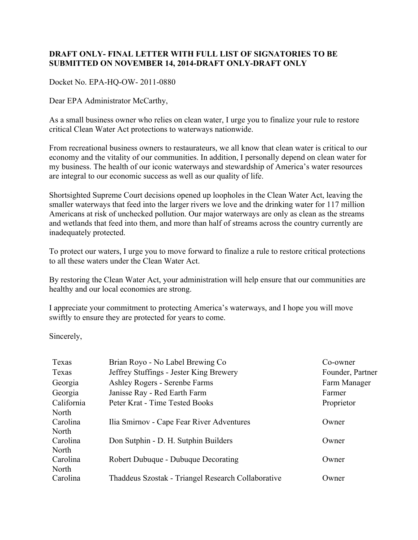## **DRAFT ONLY- FINAL LETTER WITH FULL LIST OF SIGNATORIES TO BE SUBMITTED ON NOVEMBER 14, 2014-DRAFT ONLY-DRAFT ONLY**

Docket No. EPA-HQ-OW- 2011-0880

Dear EPA Administrator McCarthy,

As a small business owner who relies on clean water, I urge you to finalize your rule to restore critical Clean Water Act protections to waterways nationwide.

From recreational business owners to restaurateurs, we all know that clean water is critical to our economy and the vitality of our communities. In addition, I personally depend on clean water for my business. The health of our iconic waterways and stewardship of America's water resources are integral to our economic success as well as our quality of life.

Shortsighted Supreme Court decisions opened up loopholes in the Clean Water Act, leaving the smaller waterways that feed into the larger rivers we love and the drinking water for 117 million Americans at risk of unchecked pollution. Our major waterways are only as clean as the streams and wetlands that feed into them, and more than half of streams across the country currently are inadequately protected.

To protect our waters, I urge you to move forward to finalize a rule to restore critical protections to all these waters under the Clean Water Act.

By restoring the Clean Water Act, your administration will help ensure that our communities are healthy and our local economies are strong.

I appreciate your commitment to protecting America's waterways, and I hope you will move swiftly to ensure they are protected for years to come.

Sincerely,

| Texas      | Brian Royo - No Label Brewing Co                   | Co-owner         |
|------------|----------------------------------------------------|------------------|
| Texas      | Jeffrey Stuffings - Jester King Brewery            | Founder, Partner |
| Georgia    | Ashley Rogers - Serenbe Farms                      | Farm Manager     |
| Georgia    | Janisse Ray - Red Earth Farm                       | Farmer           |
| California | Peter Krat - Time Tested Books                     | Proprietor       |
| North      |                                                    |                  |
| Carolina   | Ilia Smirnov - Cape Fear River Adventures          | Owner            |
| North      |                                                    |                  |
| Carolina   | Don Sutphin - D. H. Sutphin Builders               | Owner            |
| North      |                                                    |                  |
| Carolina   | Robert Dubuque - Dubuque Decorating                | Owner            |
| North      |                                                    |                  |
| Carolina   | Thaddeus Szostak - Triangel Research Collaborative | Owner            |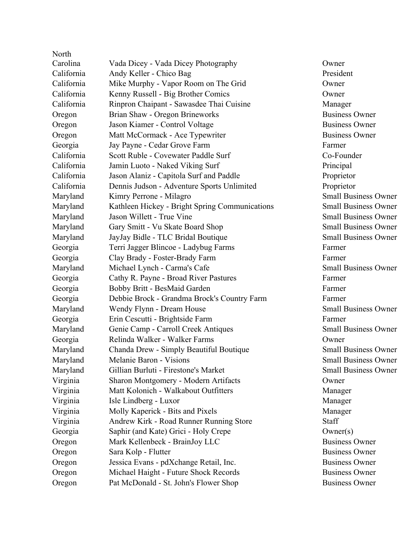| North      |                                                |                 |
|------------|------------------------------------------------|-----------------|
| Carolina   | Vada Dicey - Vada Dicey Photography            | Owner           |
| California | Andy Keller - Chico Bag                        | President       |
| California | Mike Murphy - Vapor Room on The Grid           | Owner           |
| California | Kenny Russell - Big Brother Comics             | Owner           |
| California | Rinpron Chaipant - Sawasdee Thai Cuisine       | Manager         |
| Oregon     | Brian Shaw - Oregon Brineworks                 | <b>Business</b> |
| Oregon     | Jason Kiamer - Control Voltage                 | <b>Business</b> |
| Oregon     | Matt McCormack - Ace Typewriter                | <b>Business</b> |
| Georgia    | Jay Payne - Cedar Grove Farm                   | Farmer          |
| California | Scott Ruble - Covewater Paddle Surf            | Co-Found        |
| California | Jamin Luoto - Naked Viking Surf                | Principal       |
| California | Jason Alaniz - Capitola Surf and Paddle        | Proprieto       |
| California | Dennis Judson - Adventure Sports Unlimited     | Proprieto       |
| Maryland   | Kimry Perrone - Milagro                        | Small Bu        |
| Maryland   | Kathleen Hickey - Bright Spring Communications | Small Bu        |
| Maryland   | Jason Willett - True Vine                      | Small Bu        |
| Maryland   | Gary Smitt - Vu Skate Board Shop               | Small Bu        |
| Maryland   | JayJay Bidle - TLC Bridal Boutique             | Small Bu        |
| Georgia    | Terri Jagger Blincoe - Ladybug Farms           | Farmer          |
| Georgia    | Clay Brady - Foster-Brady Farm                 | Farmer          |
| Maryland   | Michael Lynch - Carma's Cafe                   | Small Bu        |
| Georgia    | Cathy R. Payne - Broad River Pastures          | Farmer          |
| Georgia    | Bobby Britt - BesMaid Garden                   | Farmer          |
| Georgia    | Debbie Brock - Grandma Brock's Country Farm    | Farmer          |
| Maryland   | Wendy Flynn - Dream House                      | Small Bu        |
| Georgia    | Erin Cescutti - Brightside Farm                | Farmer          |
| Maryland   | Genie Camp - Carroll Creek Antiques            | Small Bu        |
| Georgia    | Relinda Walker - Walker Farms                  | Owner           |
| Maryland   | Chanda Drew - Simply Beautiful Boutique        | Small Bu        |
| Maryland   | Melanie Baron - Visions                        | Small Bu        |
| Maryland   | Gillian Burluti - Firestone's Market           | Small Bu        |
| Virginia   | Sharon Montgomery - Modern Artifacts           | Owner           |
| Virginia   | Matt Kolonich - Walkabout Outfitters           | Manager         |
| Virginia   | Isle Lindberg - Luxor                          | Manager         |
| Virginia   | Molly Kaperick - Bits and Pixels               | Manager         |
| Virginia   | Andrew Kirk - Road Runner Running Store        | Staff           |
| Georgia    | Saphir (and Kate) Grici - Holy Crepe           | Owner(s)        |
| Oregon     | Mark Kellenbeck - BrainJoy LLC                 | <b>Business</b> |
| Oregon     | Sara Kolp - Flutter                            | <b>Business</b> |
| Oregon     | Jessica Evans - pdXchange Retail, Inc.         | <b>Business</b> |
| Oregon     | Michael Haight - Future Shock Records          | <b>Business</b> |
| Oregon     | Pat McDonald - St. John's Flower Shop          | <b>Business</b> |

Manager Business Owner Business Owner Business Owner Co-Founder Proprietor Proprietor Small Business Owner Small Business Owner Small Business Owner Small Business Owner Small Business Owner Small Business Owner Small Business Owner Small Business Owner Small Business Owner Small Business Owner Small Business Owner Manager  $Owner(s)$ Business Owner **Business Owner** Business Owner Business Owner Business Owner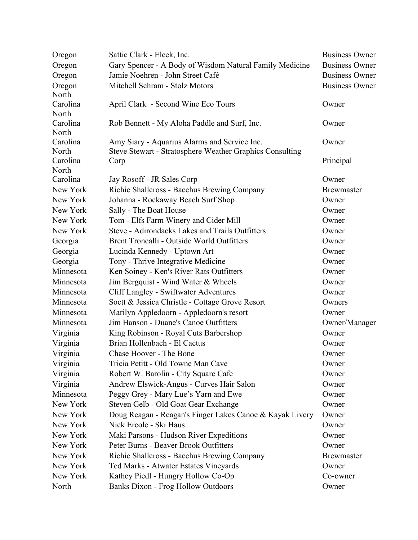| Oregon            | Sattie Clark - Eleek, Inc.                                      | <b>Business Owner</b>      |
|-------------------|-----------------------------------------------------------------|----------------------------|
| Oregon            | Gary Spencer - A Body of Wisdom Natural Family Medicine         | <b>Business Owner</b>      |
| Oregon            | Jamie Noehren - John Street Café                                | <b>Business Owner</b>      |
| Oregon            | Mitchell Schram - Stolz Motors                                  | <b>Business Owner</b>      |
| North             |                                                                 |                            |
| Carolina          | April Clark - Second Wine Eco Tours                             | Owner                      |
| North             |                                                                 |                            |
| Carolina          | Rob Bennett - My Aloha Paddle and Surf, Inc.                    | Owner                      |
| North             |                                                                 |                            |
| Carolina          | Amy Siary - Aquarius Alarms and Service Inc.                    | Owner                      |
| North<br>Carolina | <b>Steve Stewart - Stratosphere Weather Graphics Consulting</b> |                            |
| North             | Corp                                                            | Principal                  |
| Carolina          | Jay Rosoff - JR Sales Corp                                      | Owner                      |
| New York          | Richie Shallcross - Bacchus Brewing Company                     | <b>Brewmaster</b>          |
| New York          | Johanna - Rockaway Beach Surf Shop                              | Owner                      |
| New York          | Sally - The Boat House                                          | Owner                      |
| New York          | Tom - Elfs Farm Winery and Cider Mill                           | Owner                      |
| New York          | Steve - Adirondacks Lakes and Trails Outfitters                 | Owner                      |
| Georgia           | Brent Troncalli - Outside World Outfitters                      | Owner                      |
| Georgia           | Lucinda Kennedy - Uptown Art                                    | Owner                      |
| Georgia           | Tony - Thrive Integrative Medicine                              | Owner                      |
| Minnesota         | Ken Soiney - Ken's River Rats Outfitters                        | Owner                      |
| Minnesota         | Jim Bergquist - Wind Water & Wheels                             | Owner                      |
| Minnesota         | <b>Cliff Langley - Swiftwater Adventures</b>                    | Owner                      |
| Minnesota         | Soctt & Jessica Christle - Cottage Grove Resort                 | Owners                     |
| Minnesota         | Marilyn Appledoorn - Appledoorn's resort                        | Owner                      |
| Minnesota         | Jim Hanson - Duane's Canoe Outfitters                           | Owner/Manager              |
| Virginia          | King Robinson - Royal Cuts Barbershop                           | Owner                      |
| Virginia          | Brian Hollenbach - El Cactus                                    | Owner                      |
| Virginia          | Chase Hoover - The Bone                                         | Owner                      |
| Virginia          | Tricia Petitt - Old Towne Man Cave                              | Owner                      |
| Virginia          | Robert W. Barolin - City Square Cafe                            | Owner                      |
| Virginia          | Andrew Elswick-Angus - Curves Hair Salon                        | Owner                      |
| Minnesota         | Peggy Grey - Mary Lue's Yarn and Ewe                            | Owner                      |
| New York          | Steven Gelb - Old Goat Gear Exchange                            | Owner                      |
| New York          | Doug Reagan - Reagan's Finger Lakes Canoe & Kayak Livery        | Owner                      |
| New York          | Nick Ercole - Ski Haus                                          | Owner                      |
| New York          | Maki Parsons - Hudson River Expeditions                         | Owner                      |
| New York          | Peter Burns - Beaver Brook Outfitters                           | Owner                      |
| New York          |                                                                 |                            |
| New York          | Richie Shallcross - Bacchus Brewing Company                     | <b>Brewmaster</b><br>Owner |
| New York          | Ted Marks - Atwater Estates Vineyards                           |                            |
| North             | Kathey Piedl - Hungry Hollow Co-Op                              | Co-owner<br>Owner          |
|                   | <b>Banks Dixon - Frog Hollow Outdoors</b>                       |                            |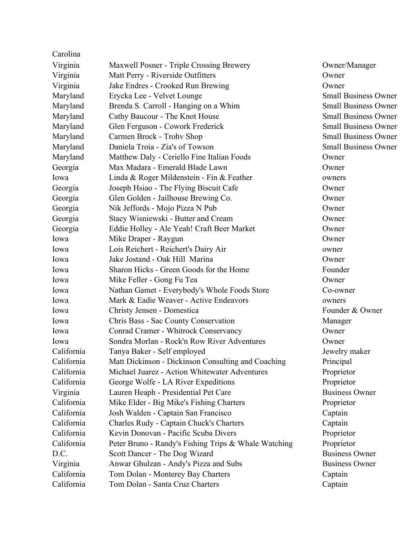| Carolina   |                                                      |                             |
|------------|------------------------------------------------------|-----------------------------|
| Virginia   | Maxwell Posner - Triple Crossing Brewery             | Owner/Manager               |
| Virginia   | Matt Perry - Riverside Outfitters                    | Owner                       |
| Virginia   | Jake Endres - Crooked Run Brewing                    | Owner                       |
| Maryland   | Erycka Lee - Velvet Lounge                           | <b>Small Business Owner</b> |
| Maryland   | Brenda S. Carroll - Hanging on a Whim                | <b>Small Business Owner</b> |
| Maryland   | Cathy Baucour - The Knot House                       | <b>Small Business Owner</b> |
| Maryland   | Glen Ferguson - Cowork Frederick                     | <b>Small Business Owner</b> |
| Maryland   | Carmen Brock - Trohv Shop                            | <b>Small Business Owner</b> |
| Maryland   | Daniela Troia - Zia's of Towson                      | <b>Small Business Owner</b> |
| Maryland   | Matthew Daly - Ceriello Fine Italian Foods           | Owner                       |
| Georgia    | Max Madara - Emerald Blade Lawn                      | Owner                       |
| Iowa       | Linda & Roger Mildenstein - Fin & Feather            | owners                      |
| Georgia    | Joseph Hsiao - The Flying Biscuit Cafe               | Owner                       |
| Georgia    | Glen Golden - Jailhouse Brewing Co.                  | Owner                       |
| Georgia    | Nik Jeffords - Mojo Pizza N Pub                      | Owner                       |
| Georgia    | Stacy Wisniewski - Butter and Cream                  | Owner                       |
| Georgia    | Eddie Holley - Ale Yeah! Craft Beer Market           | Owner                       |
| Iowa       | Mike Draper - Raygun                                 | Owner                       |
| Iowa       | Lois Reichert - Reichert's Dairy Air                 | owner                       |
| Iowa       | Jake Jostand - Oak Hill Marina                       | Owner                       |
| Iowa       | Sharon Hicks - Green Goods for the Home              | Founder                     |
| Iowa       | Mike Feller - Gong Fu Tea                            | Owner                       |
| Iowa       | Nathan Gamet - Everybody's Whole Foods Store         | Co-owner                    |
| Iowa       | Mark & Eadie Weaver - Active Endeavors               | owners                      |
| Iowa       | Christy Jensen - Domestica                           | Founder & Owner             |
| Iowa       | Chris Bass - Sac County Conservation                 | Manager                     |
| Iowa       | Conrad Cramer - Whitrock Conservancy                 | Owner                       |
| Iowa       | Sondra Morlan - Rock'n Row River Adventures          | Owner                       |
| California | Tanya Baker - Self employed                          | Jewelry maker               |
| California | Matt Dickinson - Dickinson Consulting and Coaching   | Principal                   |
| California | Michael Juarez - Action Whitewater Adventures        | Proprietor                  |
| California | George Wolfe - LA River Expeditions                  | Proprietor                  |
| Virginia   | Lauren Heaph - Presidential Pet Care                 | <b>Business Owner</b>       |
| California | Mike Elder - Big Mike's Fishing Charters             | Proprietor                  |
| California | Josh Walden - Captain San Francisco                  | Captain                     |
| California | Charles Rudy - Captain Chuck's Charters              | Captain                     |
| California | Kevin Donovan - Pacific Scuba Divers                 | Proprietor                  |
| California | Peter Bruno - Randy's Fishing Trips & Whale Watching | Proprietor                  |
| D.C.       | Scott Dancer - The Dog Wizard                        | <b>Business Owner</b>       |
| Virginia   | Anwar Ghulzan - Andy's Pizza and Subs                | <b>Business Owner</b>       |
| California | Tom Dolan - Monterey Bay Charters                    | Captain                     |
| California | Tom Dolan - Santa Cruz Charters                      | Captain                     |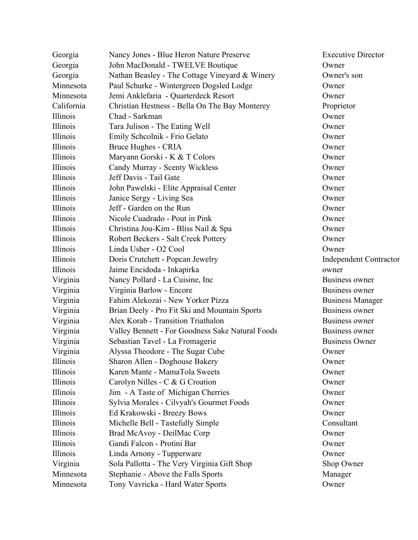| Georgia    | Nancy Jones - Blue Heron Nature Preserve         | <b>Executive Director</b>     |
|------------|--------------------------------------------------|-------------------------------|
| Georgia    | John MacDonald - TWELVE Boutique                 | Owner                         |
| Georgia    | Nathan Beasley - The Cottage Vineyard & Winery   | Owner's son                   |
| Minnesota  | Paul Schurke - Wintergreen Dogsled Lodge         | Owner                         |
| Minnesota  | Jemi Anklefaria - Quarterdeck Resort             | Owner                         |
| California | Christian Hestness - Bella On The Bay Monterey   | Proprietor                    |
| Illinois   | Chad - Sarkman                                   | Owner                         |
| Illinois   | Tara Julison - The Eating Well                   | Owner                         |
| Illinois   | Emily Schcolnik - Frio Gelato                    | Owner                         |
| Illinois   | Bruce Hughes - CRIA                              | Owner                         |
| Illinois   | Maryann Gorski - K & T Colors                    | Owner                         |
| Illinois   | Candy Murray - Scenty Wickless                   | Owner                         |
| Illinois   | Jeff Davis - Tail Gate                           | Owner                         |
| Illinois   | John Pawelski - Elite Appraisal Center           | Owner                         |
| Illinois   | Janice Sergy - Living Sea                        | Owner                         |
| Illinois   | Jeff - Garden on the Run                         | Owner                         |
| Illinois   | Nicole Cuadrado - Pout in Pink                   | Owner                         |
| Illinois   | Christina Jou-Kim - Bliss Nail & Spa             | Owner                         |
| Illinois   | Robert Beckers - Salt Creek Pottery              | Owner                         |
| Illinois   | Linda Usher - O2 Cool                            | Owner                         |
| Illinois   | Doris Crutchett - Popcan Jewelry                 | <b>Independent Contractor</b> |
| Illinois   | Jaime Encidoda - Inkapirka                       | owner                         |
| Virginia   | Nancy Pollard - La Cuisine, Inc.                 | <b>Business owner</b>         |
| Virginia   | Virginia Barlow - Encore                         | Business owner                |
| Virginia   | Fahim Alekozai - New Yorker Pizza                | <b>Business Manager</b>       |
| Virginia   | Brian Deely - Pro Fit Ski and Mountain Sports    | <b>Business owner</b>         |
| Virginia   | Alex Korab - Transition Triathalon               | <b>Business owner</b>         |
| Virginia   | Valley Bennett - For Goodness Sake Natural Foods | Business owner                |
| Virginia   | Sebastian Tavel - La Fromagerie                  | <b>Business Owner</b>         |
| Virginia   | Alyssa Theodore - The Sugar Cube                 | Owner                         |
| Illinois   | Sharon Allen - Doghouse Bakery                   | Owner                         |
| Illinois   | Karen Mante - MamaTola Sweets                    | Owner                         |
| Illinois   | Carolyn Nilles - C & G Croation                  | Owner                         |
| Illinois   | Jim - A Taste of Michigan Cherries               | Owner                         |
| Illinois   | Sylvia Morales - Cilvyah's Gourmet Foods         | Owner                         |
| Illinois   | Ed Krakowski - Breezy Bows                       | Owner                         |
| Illinois   | Michelle Bell - Tastefully Simple                | Consultant                    |
| Illinois   | Brad McAvoy - DeilMac Corp                       | Owner                         |
| Illinois   | Gandi Falcon - Protini Bar                       | Owner                         |
| Illinois   | Linda Arnony - Tupperware                        | Owner                         |
| Virginia   | Sola Pallotta - The Very Virginia Gift Shop      | Shop Owner                    |
| Minnesota  | Stephanie - Above the Falls Sports               | Manager                       |
| Minnesota  | Tony Vavricka - Hard Water Sports                | Owner                         |